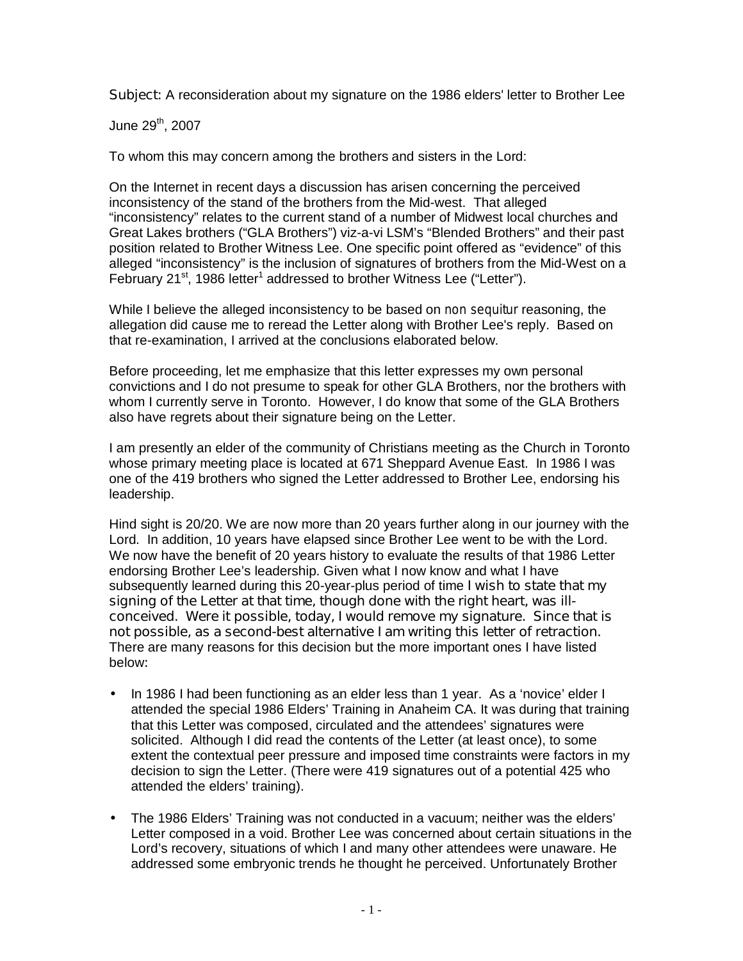**Subject:** A reconsideration about my signature on the 1986 elders' letter to Brother Lee

June 29<sup>th</sup>, 2007

To whom this may concern among the brothers and sisters in the Lord:

On the Internet in recent days a discussion has arisen concerning the perceived inconsistency of the stand of the brothers from the Mid-west. That alleged "inconsistency" relates to the current stand of a number of Midwest local churches and Great Lakes brothers ("GLA Brothers") viz-a-vi LSM's "Blended Brothers" and their past position related to Brother Witness Lee. One specific point offered as "evidence" of this alleged "inconsistency" is the inclusion of signatures of brothers from the Mid-West on a February 21<sup>st</sup>, 1986 letter<sup>1</sup> addressed to brother Witness Lee ("Letter").

While I believe the alleged inconsistency to be based on *non sequitur* reasoning, the allegation did cause me to reread the Letter along with Brother Lee's reply. Based on that re-examination, I arrived at the conclusions elaborated below.

Before proceeding, let me emphasize that this letter expresses my own personal convictions and I do not presume to speak for other GLA Brothers, nor the brothers with whom I currently serve in Toronto. However, I do know that some of the GLA Brothers also have regrets about their signature being on the Letter.

I am presently an elder of the community of Christians meeting as the Church in Toronto whose primary meeting place is located at 671 Sheppard Avenue East. In 1986 I was one of the 419 brothers who signed the Letter addressed to Brother Lee, endorsing his leadership.

Hind sight is 20/20. We are now more than 20 years further along in our journey with the Lord. In addition, 10 years have elapsed since Brother Lee went to be with the Lord. We now have the benefit of 20 years history to evaluate the results of that 1986 Letter endorsing Brother Lee's leadership. Given what I now know and what I have subsequently learned during this 20-year-plus period of time **I wish to state that my signing of the Letter at that time, though done with the right heart, was illconceived. Were it possible, today, I would remove my signature. Since that is not possible, as a second-best alternative I am writing this letter of retraction.** There are many reasons for this decision but the more important ones I have listed below**:**

- In 1986 I had been functioning as an elder less than 1 year. As a 'novice' elder I attended the special 1986 Elders' Training in Anaheim CA. It was during that training that this Letter was composed, circulated and the attendees' signatures were solicited. Although I did read the contents of the Letter (at least once), to some extent the contextual peer pressure and imposed time constraints were factors in my decision to sign the Letter. (There were 419 signatures out of a potential 425 who attended the elders' training).
- The 1986 Elders' Training was not conducted in a vacuum; neither was the elders' Letter composed in a void. Brother Lee was concerned about certain situations in the Lord's recovery, situations of which I and many other attendees were unaware. He addressed some embryonic trends he thought he perceived. Unfortunately Brother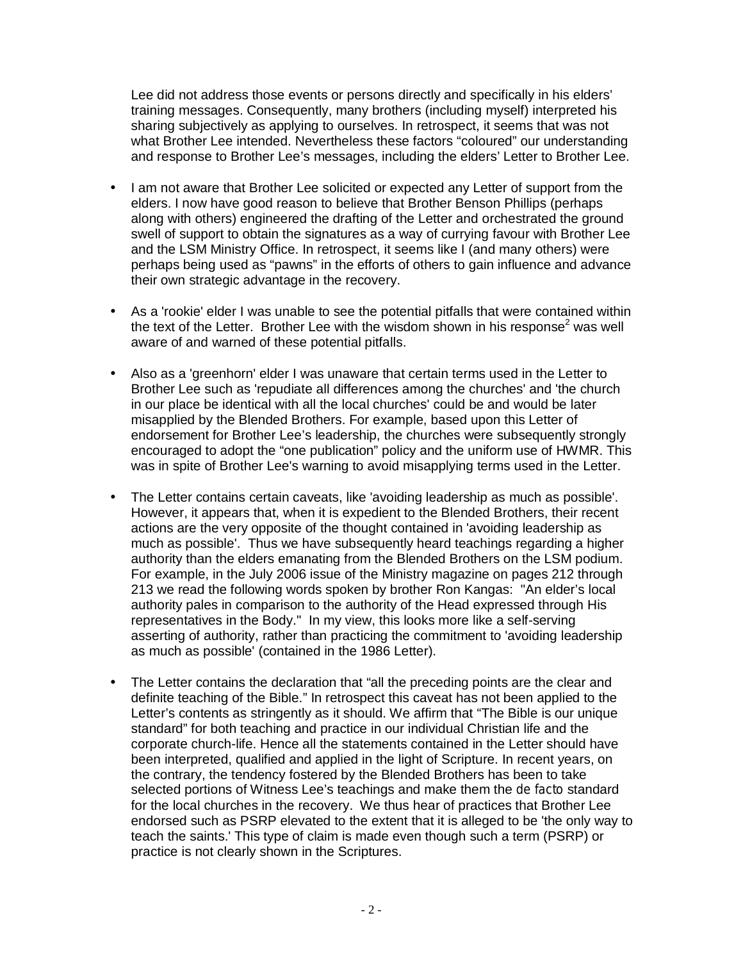Lee did not address those events or persons directly and specifically in his elders' training messages. Consequently, many brothers (including myself) interpreted his sharing subjectively as applying to ourselves. In retrospect, it seems that was not what Brother Lee intended. Nevertheless these factors "coloured" our understanding and response to Brother Lee's messages, including the elders' Letter to Brother Lee.

- I am not aware that Brother Lee solicited or expected any Letter of support from the elders. I now have good reason to believe that Brother Benson Phillips (perhaps along with others) engineered the drafting of the Letter and orchestrated the ground swell of support to obtain the signatures as a way of currying favour with Brother Lee and the LSM Ministry Office. In retrospect, it seems like I (and many others) were perhaps being used as "pawns" in the efforts of others to gain influence and advance their own strategic advantage in the recovery.
- As a 'rookie' elder I was unable to see the potential pitfalls that were contained within the text of the Letter. Brother Lee with the wisdom shown in his response<sup>2</sup> was well aware of and warned of these potential pitfalls.
- Also as a 'greenhorn' elder I was unaware that certain terms used in the Letter to Brother Lee such as 'repudiate all differences among the churches' and 'the church in our place be identical with all the local churches' could be and would be later misapplied by the Blended Brothers. For example, based upon this Letter of endorsement for Brother Lee's leadership, the churches were subsequently strongly encouraged to adopt the "one publication" policy and the uniform use of HWMR. This was in spite of Brother Lee's warning to avoid misapplying terms used in the Letter.
- The Letter contains certain caveats, like 'avoiding leadership as much as possible'. However, it appears that, when it is expedient to the Blended Brothers, their recent actions are the very opposite of the thought contained in 'avoiding leadership as much as possible'. Thus we have subsequently heard teachings regarding a higher authority than the elders emanating from the Blended Brothers on the LSM podium. For example, in the July 2006 issue of the Ministry magazine on pages 212 through 213 we read the following words spoken by brother Ron Kangas: "An elder's local authority pales in comparison to the authority of the Head expressed through His representatives in the Body." In my view, this looks more like a self-serving asserting of authority, rather than practicing the commitment to 'avoiding leadership as much as possible' (contained in the 1986 Letter).
- The Letter contains the declaration that "all the preceding points are the clear and definite teaching of the Bible." In retrospect this caveat has not been applied to the Letter's contents as stringently as it should. We affirm that "The Bible is our unique standard" for both teaching and practice in our individual Christian life and the corporate church-life. Hence all the statements contained in the Letter should have been interpreted, qualified and applied in the light of Scripture. In recent years, on the contrary, the tendency fostered by the Blended Brothers has been to take selected portions of Witness Lee's teachings and make them the *de facto* standard for the local churches in the recovery. We thus hear of practices that Brother Lee endorsed such as PSRP elevated to the extent that it is alleged to be 'the only way to teach the saints.' This type of claim is made even though such a term (PSRP) or practice is not clearly shown in the Scriptures.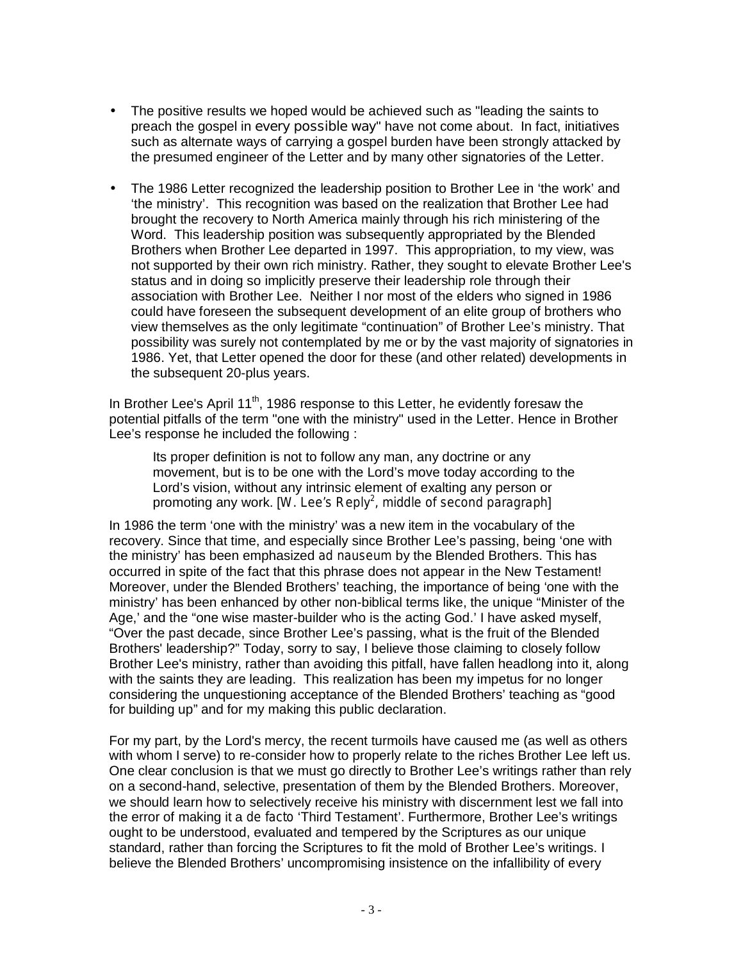- The positive results we hoped would be achieved such as "leading the saints to preach the gospel in **every possible way**" have not come about. In fact, initiatives such as alternate ways of carrying a gospel burden have been strongly attacked by the presumed engineer of the Letter and by many other signatories of the Letter.
- The 1986 Letter recognized the leadership position to Brother Lee in 'the work' and 'the ministry'. This recognition was based on the realization that Brother Lee had brought the recovery to North America mainly through his rich ministering of the Word. This leadership position was subsequently appropriated by the Blended Brothers when Brother Lee departed in 1997. This appropriation, to my view, was not supported by their own rich ministry. Rather, they sought to elevate Brother Lee's status and in doing so implicitly preserve their leadership role through their association with Brother Lee. Neither I nor most of the elders who signed in 1986 could have foreseen the subsequent development of an elite group of brothers who view themselves as the only legitimate "continuation" of Brother Lee's ministry. That possibility was surely not contemplated by me or by the vast majority of signatories in 1986. Yet, that Letter opened the door for these (and other related) developments in the subsequent 20-plus years.

In Brother Lee's April  $11<sup>th</sup>$ , 1986 response to this Letter, he evidently foresaw the potential pitfalls of the term "one with the ministry" used in the Letter. Hence in Brother Lee's response he included the following :

Its proper definition is not to follow any man, any doctrine or any movement, but is to be one with the Lord's move today according to the Lord's vision, without any intrinsic element of exalting any person or promoting any work. [W. Lee's Reply<sup>2</sup>, middle of second paragraph]

In 1986 the term 'one with the ministry' was a new item in the vocabulary of the recovery. Since that time, and especially since Brother Lee's passing, being 'one with the ministry' has been emphasized *ad nauseum* by the Blended Brothers. This has occurred in spite of the fact that this phrase does not appear in the New Testament! Moreover, under the Blended Brothers' teaching, the importance of being 'one with the ministry' has been enhanced by other non-biblical terms like, the unique "Minister of the Age,' and the "one wise master-builder who is the acting God.' I have asked myself, "Over the past decade, since Brother Lee's passing, what is the fruit of the Blended Brothers' leadership?" Today, sorry to say, I believe those claiming to closely follow Brother Lee's ministry, rather than avoiding this pitfall, have fallen headlong into it, along with the saints they are leading. This realization has been my impetus for no longer considering the unquestioning acceptance of the Blended Brothers' teaching as "good for building up" and for my making this public declaration.

For my part, by the Lord's mercy, the recent turmoils have caused me (as well as others with whom I serve) to re-consider how to properly relate to the riches Brother Lee left us. One clear conclusion is that we must go directly to Brother Lee's writings rather than rely on a second-hand, selective, presentation of them by the Blended Brothers. Moreover, we should learn how to selectively receive his ministry with discernment lest we fall into the error of making it a *de facto* 'Third Testament'. Furthermore, Brother Lee's writings ought to be understood, evaluated and tempered by the Scriptures as our unique standard, rather than forcing the Scriptures to fit the mold of Brother Lee's writings. I believe the Blended Brothers' uncompromising insistence on the infallibility of every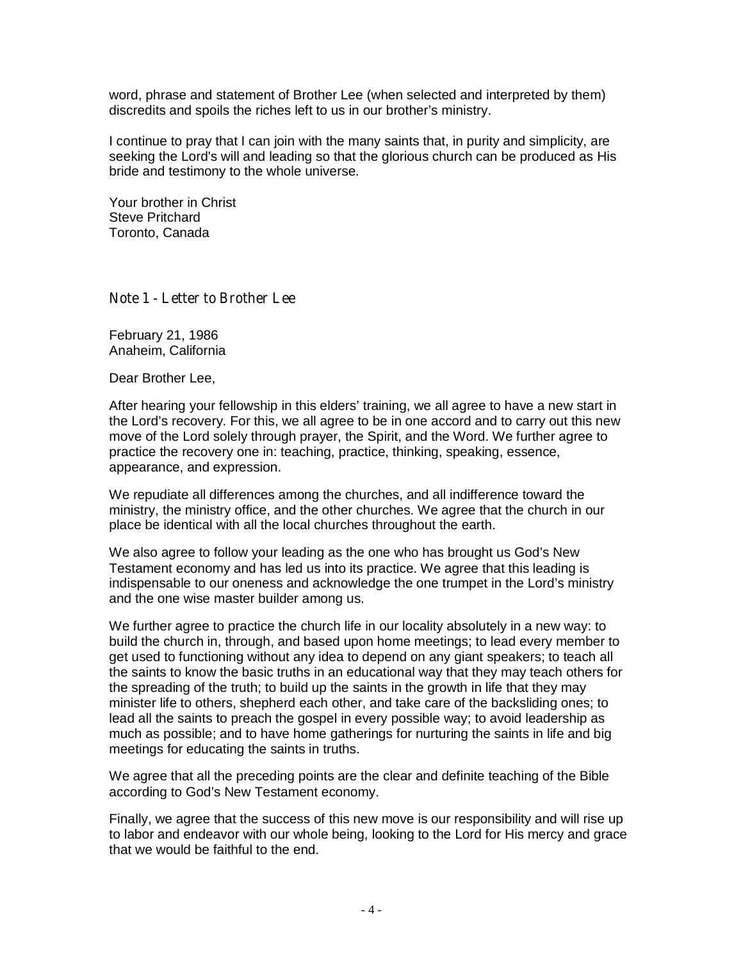word, phrase and statement of Brother Lee (when selected and interpreted by them) discredits and spoils the riches left to us in our brother's ministry.

I continue to pray that I can join with the many saints that, in purity and simplicity, are seeking the Lord's will and leading so that the glorious church can be produced as His bride and testimony to the whole universe.

Your brother in Christ Steve Pritchard Toronto, Canada

## **Note 1 - Letter to Brother Lee**

February 21, 1986 Anaheim, California

Dear Brother Lee,

After hearing your fellowship in this elders' training, we all agree to have a new start in the Lord's recovery. For this, we all agree to be in one accord and to carry out this new move of the Lord solely through prayer, the Spirit, and the Word. We further agree to practice the recovery one in: teaching, practice, thinking, speaking, essence, appearance, and expression.

We repudiate all differences among the churches, and all indifference toward the ministry, the ministry office, and the other churches. We agree that the church in our place be identical with all the local churches throughout the earth.

We also agree to follow your leading as the one who has brought us God's New Testament economy and has led us into its practice. We agree that this leading is indispensable to our oneness and acknowledge the one trumpet in the Lord's ministry and the one wise master builder among us.

We further agree to practice the church life in our locality absolutely in a new way: to build the church in, through, and based upon home meetings; to lead every member to get used to functioning without any idea to depend on any giant speakers; to teach all the saints to know the basic truths in an educational way that they may teach others for the spreading of the truth; to build up the saints in the growth in life that they may minister life to others, shepherd each other, and take care of the backsliding ones; to lead all the saints to preach the gospel in every possible way; to avoid leadership as much as possible; and to have home gatherings for nurturing the saints in life and big meetings for educating the saints in truths.

We agree that all the preceding points are the clear and definite teaching of the Bible according to God's New Testament economy.

Finally, we agree that the success of this new move is our responsibility and will rise up to labor and endeavor with our whole being, looking to the Lord for His mercy and grace that we would be faithful to the end.